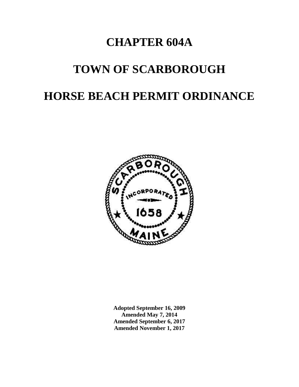# **CHAPTER 604A**

# **TOWN OF SCARBOROUGH**

# **HORSE BEACH PERMIT ORDINANCE**



**Adopted September 16, 2009 Amended May 7, 2014 Amended September 6, 2017 Amended November 1, 2017**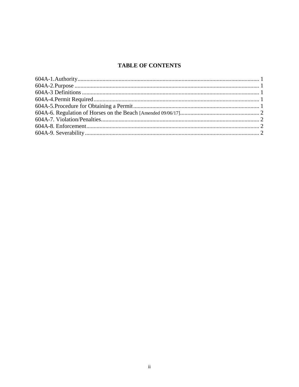# **TABLE OF CONTENTS**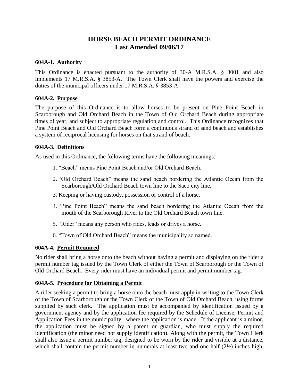# **HORSE BEACH PERMIT ORDINANCE Last Amended 09/06/17**

#### **604A-1. Authority**

This Ordinance is enacted pursuant to the authority of 30-A M.R.S.A. § 3001 and also implements 17 M.R.S.A. § 3853-A. The Town Clerk shall have the powers and exercise the duties of the municipal officers under 17 M.R.S.A. § 3853-A.

#### **604A-2. Purpose**

The purpose of this Ordinance is to allow horses to be present on Pine Point Beach in Scarborough and Old Orchard Beach in the Town of Old Orchard Beach during appropriate times of year, and subject to appropriate regulation and control. This Ordinance recognizes that Pine Point Beach and Old Orchard Beach form a continuous strand of sand beach and establishes a system of reciprocal licensing for horses on that strand of beach.

#### **604A-3. Definitions**

As used in this Ordinance, the following terms have the following meanings:

- 1. "Beach" means Pine Point Beach and/or Old Orchard Beach.
- 2. "Old Orchard Beach" means the sand beach bordering the Atlantic Ocean from the Scarborough/Old Orchard Beach town line to the Saco city line.
- 3. Keeping or having custody, possession or control of a horse.
- 4. "Pine Point Beach" means the sand beach bordering the Atlantic Ocean from the mouth of the Scarborough River to the Old Orchard Beach town line.
- 5. "Rider" means any person who rides, leads or drives a horse.
- 6. "Town of Old Orchard Beach" means the municipality so named.

## **604A-4. Permit Required**

No rider shall bring a horse onto the beach without having a permit and displaying on the rider a permit number tag issued by the Town Clerk of either the Town of Scarborough or the Town of Old Orchard Beach. Every rider must have an individual permit and permit number tag.

## **604A-5. Procedure for Obtaining a Permit**

A rider seeking a permit to bring a horse onto the beach must apply in writing to the Town Clerk of the Town of Scarborough or the Town Clerk of the Town of Old Orchard Beach, using forms supplied by such clerk. The application must be accompanied by identification issued by a government agency and by the application fee required by the Schedule of License, Permit and Application Fees in the municipality where the application is made. If the applicant is a minor, the application must be signed by a parent or guardian, who must supply the required identification (the minor need not supply identification). Along with the permit, the Town Clerk shall also issue a permit number tag, designed to be worn by the rider and visible at a distance, which shall contain the permit number in numerals at least two and one half (2½) inches high,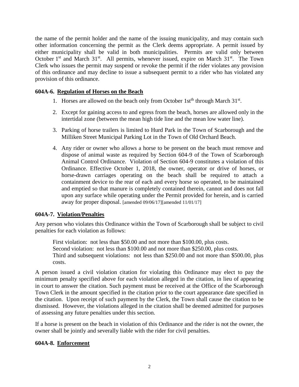the name of the permit holder and the name of the issuing municipality, and may contain such other information concerning the permit as the Clerk deems appropriate. A permit issued by either municipality shall be valid in both municipalities. Permits are valid only between October  $1<sup>st</sup>$  and March  $31<sup>st</sup>$ . All permits, whenever issued, expire on March  $31<sup>st</sup>$ . The Town Clerk who issues the permit may suspend or revoke the permit if the rider violates any provision of this ordinance and may decline to issue a subsequent permit to a rider who has violated any provision of this ordinance.

## **604A-6. Regulation of Horses on the Beach**

- 1. Horses are allowed on the beach only from October 1st<sup>th</sup> through March 31<sup>st</sup>.
- 2. Except for gaining access to and egress from the beach, horses are allowed only in the intertidal zone (between the mean high tide line and the mean low water line).
- 3. Parking of horse trailers is limited to Hurd Park in the Town of Scarborough and the Milliken Street Municipal Parking Lot in the Town of Old Orchard Beach.
- 4. Any rider or owner who allows a horse to be present on the beach must remove and dispose of animal waste as required by Section 604-9 of the Town of Scarborough Animal Control Ordinance. Violation of Section 604-9 constitutes a violation of this Ordinance. Effective October 1, 2018, the owner, operator or drive of horses, or horse-drawn carriages operating on the beach shall be required to attach a containment device to the rear of each and every horse so operated, to be maintained and emptied so that manure is completely contained therein, cannot and does not fall upon any surface while operating under the Permit provided for herein, and is carried away for proper disposal. [amended 09/06/17][amended 11/01/17]

## **604A-7. Violation/Penalties**

Any person who violates this Ordinance within the Town of Scarborough shall be subject to civil penalties for each violation as follows:

First violation: not less than \$50.00 and not more than \$100.00, plus costs. Second violation: not less than \$100.00 and not more than \$250.00, plus costs. Third and subsequent violations: not less than \$250.00 and not more than \$500.00, plus costs.

A person issued a civil violation citation for violating this Ordinance may elect to pay the minimum penalty specified above for each violation alleged in the citation, in lieu of appearing in court to answer the citation. Such payment must be received at the Office of the Scarborough Town Clerk in the amount specified in the citation prior to the court appearance date specified in the citation. Upon receipt of such payment by the Clerk, the Town shall cause the citation to be dismissed. However, the violations alleged in the citation shall be deemed admitted for purposes of assessing any future penalties under this section.

If a horse is present on the beach in violation of this Ordinance and the rider is not the owner, the owner shall be jointly and severally liable with the rider for civil penalties.

## **604A-8. Enforcement**